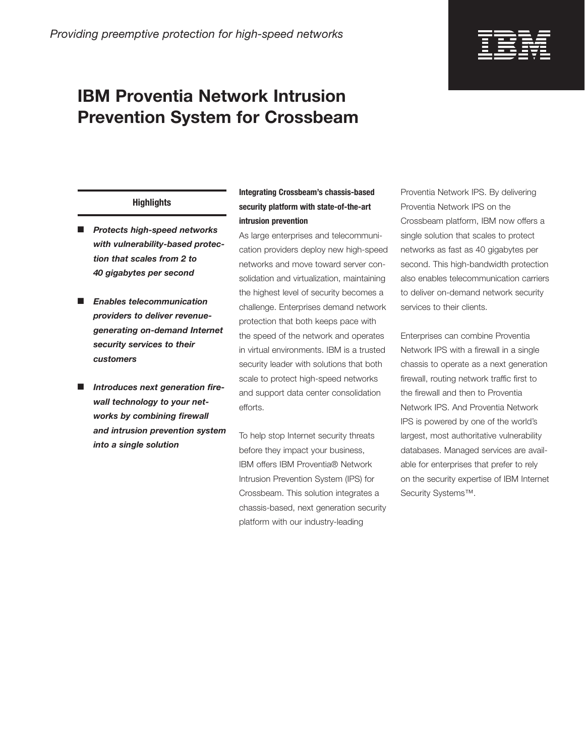

# **IBM Proventia Network Intrusion Prevention System for Crossbeam**

### **Highlights**

- **Protects high-speed networks** *with vulnerability-based protection that scales from 2 to 40 gigabytes per second*
- **Enables telecommunication** *providers to deliver revenuegenerating on-demand Internet security services to their customers*
- **Introduces next generation fire***wall technology to your networks by combining firewall and intrusion prevention system into a single solution*

## **Integrating Crossbeam's chassis-based security platform with state-of-the-art intrusion prevention**

As large enterprises and telecommunication providers deploy new high-speed networks and move toward server consolidation and virtualization, maintaining the highest level of security becomes a challenge. Enterprises demand network protection that both keeps pace with the speed of the network and operates in virtual environments. IBM is a trusted security leader with solutions that both scale to protect high-speed networks and support data center consolidation efforts.

To help stop Internet security threats before they impact your business, IBM offers IBM Proventia® Network Intrusion Prevention System (IPS) for Crossbeam. This solution integrates a chassis-based, next generation security platform with our industry-leading

Proventia Network IPS. By delivering Proventia Network IPS on the Crossbeam platform, IBM now offers a single solution that scales to protect networks as fast as 40 gigabytes per second. This high-bandwidth protection also enables telecommunication carriers to deliver on-demand network security services to their clients.

Enterprises can combine Proventia Network IPS with a firewall in a single chassis to operate as a next generation firewall, routing network traffic first to the firewall and then to Proventia Network IPS. And Proventia Network IPS is powered by one of the world's largest, most authoritative vulnerability databases. Managed services are available for enterprises that prefer to rely on the security expertise of IBM Internet Security Systems™.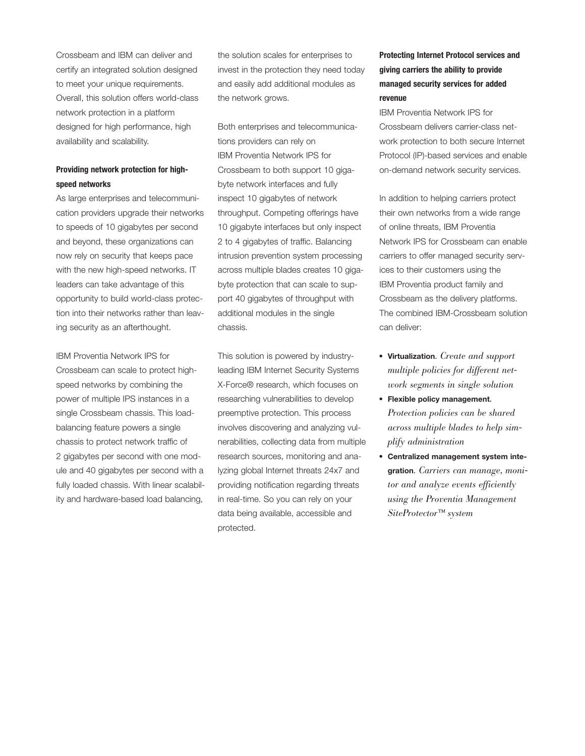Crossbeam and IBM can deliver and certify an integrated solution designed to meet your unique requirements. Overall, this solution offers world-class network protection in a platform designed for high performance, high availability and scalability.

### **Providing network protection for highspeed networks**

As large enterprises and telecommunication providers upgrade their networks to speeds of 10 gigabytes per second and beyond, these organizations can now rely on security that keeps pace with the new high-speed networks. IT leaders can take advantage of this opportunity to build world-class protection into their networks rather than leaving security as an afterthought.

IBM Proventia Network IPS for Crossbeam can scale to protect highspeed networks by combining the power of multiple IPS instances in a single Crossbeam chassis. This loadbalancing feature powers a single chassis to protect network traffic of 2 gigabytes per second with one module and 40 gigabytes per second with a fully loaded chassis. With linear scalability and hardware-based load balancing,

the solution scales for enterprises to invest in the protection they need today and easily add additional modules as the network grows.

Both enterprises and telecommunications providers can rely on IBM Proventia Network IPS for Crossbeam to both support 10 gigabyte network interfaces and fully inspect 10 gigabytes of network throughput. Competing offerings have 10 gigabyte interfaces but only inspect 2 to 4 gigabytes of traffic. Balancing intrusion prevention system processing across multiple blades creates 10 gigabyte protection that can scale to support 40 gigabytes of throughput with additional modules in the single chassis.

This solution is powered by industryleading IBM Internet Security Systems X-Force® research, which focuses on researching vulnerabilities to develop preemptive protection. This process involves discovering and analyzing vulnerabilities, collecting data from multiple research sources, monitoring and analyzing global Internet threats 24x7 and providing notification regarding threats in real-time. So you can rely on your data being available, accessible and protected.

# **Protecting Internet Protocol services and giving carriers the ability to provide managed security services for added revenue**

IBM Proventia Network IPS for Crossbeam delivers carrier-class network protection to both secure Internet Protocol (IP)-based services and enable on-demand network security services.

In addition to helping carriers protect their own networks from a wide range of online threats, IBM Proventia Network IPS for Crossbeam can enable carriers to offer managed security services to their customers using the IBM Proventia product family and Crossbeam as the delivery platforms. The combined IBM-Crossbeam solution can deliver:

- ● **Virtualization***. Create and support multiple policies for different network segments in single solution*
- ● **Flexible policy management***. Protection policies can be shared across multiple blades to help simplify administration*
- ● **Centralized management system integration***. Carriers can manage, monitor and analyze events efficiently using the Proventia Management SiteProtector™ system*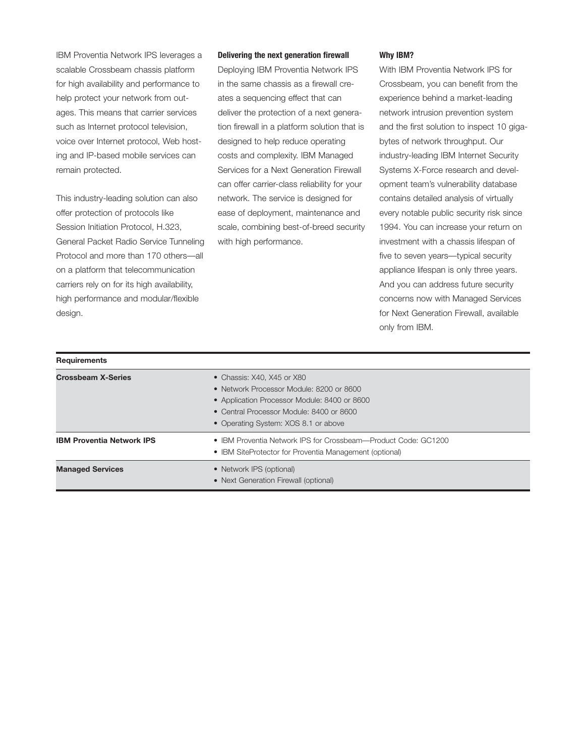IBM Proventia Network IPS leverages a scalable Crossbeam chassis platform for high availability and performance to help protect your network from outages. This means that carrier services such as Internet protocol television, voice over Internet protocol, Web hosting and IP-based mobile services can remain protected.

This industry-leading solution can also offer protection of protocols like Session Initiation Protocol, H.323, General Packet Radio Service Tunneling Protocol and more than 170 others—all on a platform that telecommunication carriers rely on for its high availability, high performance and modular/flexible design.

**Requirements** 

#### **Delivering the next generation firewall**

Deploying IBM Proventia Network IPS in the same chassis as a firewall creates a sequencing effect that can deliver the protection of a next generation firewall in a platform solution that is designed to help reduce operating costs and complexity. IBM Managed Services for a Next Generation Firewall can offer carrier-class reliability for your network. The service is designed for ease of deployment, maintenance and scale, combining best-of-breed security with high performance.

#### **Why IBM?**

With IBM Proventia Network IPS for Crossbeam, you can benefit from the experience behind a market-leading network intrusion prevention system and the first solution to inspect 10 gigabytes of network throughput. Our industry-leading IBM Internet Security Systems X-Force research and development team's vulnerability database contains detailed analysis of virtually every notable public security risk since 1994. You can increase your return on investment with a chassis lifespan of five to seven years—typical security appliance lifespan is only three years. And you can address future security concerns now with Managed Services for Next Generation Firewall, available only from IBM.

| <b>Crossbeam X-Series</b>        | • Chassis: X40, X45 or X80<br>• Network Processor Module: 8200 or 8600<br>• Application Processor Module: 8400 or 8600<br>• Central Processor Module: 8400 or 8600<br>• Operating System: XOS 8.1 or above |
|----------------------------------|------------------------------------------------------------------------------------------------------------------------------------------------------------------------------------------------------------|
| <b>IBM Proventia Network IPS</b> | • IBM Proventia Network IPS for Crossbeam—Product Code: GC1200<br>• IBM SiteProtector for Proventia Management (optional)                                                                                  |
| <b>Managed Services</b>          | • Network IPS (optional)<br>• Next Generation Firewall (optional)                                                                                                                                          |